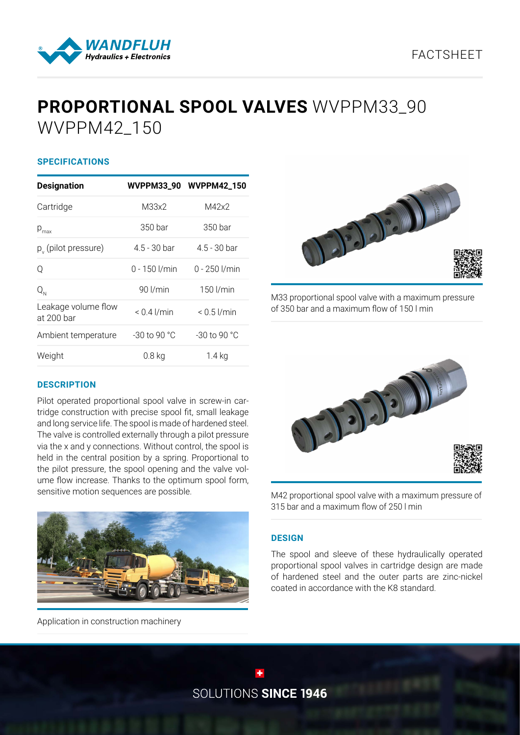## FACTSHEET



# **PROPORTIONAL SPOOL VALVES** WVPPM33\_90 WVPPM42\_150

### **SPECIFICATIONS**

| <b>Designation</b>                |                   | WVPPM33_90 WVPPM42_150 |
|-----------------------------------|-------------------|------------------------|
| Cartridge                         | M33x2             | M42x2                  |
| $p_{\text{max}}$                  | 350 bar           | 350 bar                |
| $p_y$ (pilot pressure)            | $4.5 - 30$ bar    | $4.5 - 30$ bar         |
| Q                                 | $0 - 150$ $1/min$ | $0 - 250$ I/min        |
| $Q_{N}$                           | $90$ $l/min$      | 150 l/min              |
| Leakage volume flow<br>at 200 bar | $< 0.4$ $\mu$ min | $< 0.5$ $\mu$ min      |
| Ambient temperature               | $-30$ to 90 °C    | $-30$ to 90 °C         |
| Weight                            | $0.8$ kg          | $1.4$ kg               |



Pilot operated proportional spool valve in screw-in cartridge construction with precise spool fit, small leakage and long service life. The spool is made of hardened steel. The valve is controlled externally through a pilot pressure via the x and y connections. Without control, the spool is held in the central position by a spring. Proportional to the pilot pressure, the spool opening and the valve volume flow increase. Thanks to the optimum spool form, sensitive motion sequences are possible.



Application in construction machinery



M33 proportional spool valve with a maximum pressure of 350 bar and a maximum flow of 150 l min



M42 proportional spool valve with a maximum pressure of 315 bar and a maximum flow of 250 l min

#### **DESIGN**

The spool and sleeve of these hydraulically operated proportional spool valves in cartridge design are made of hardened steel and the outer parts are zinc-nickel coated in accordance with the K8 standard.